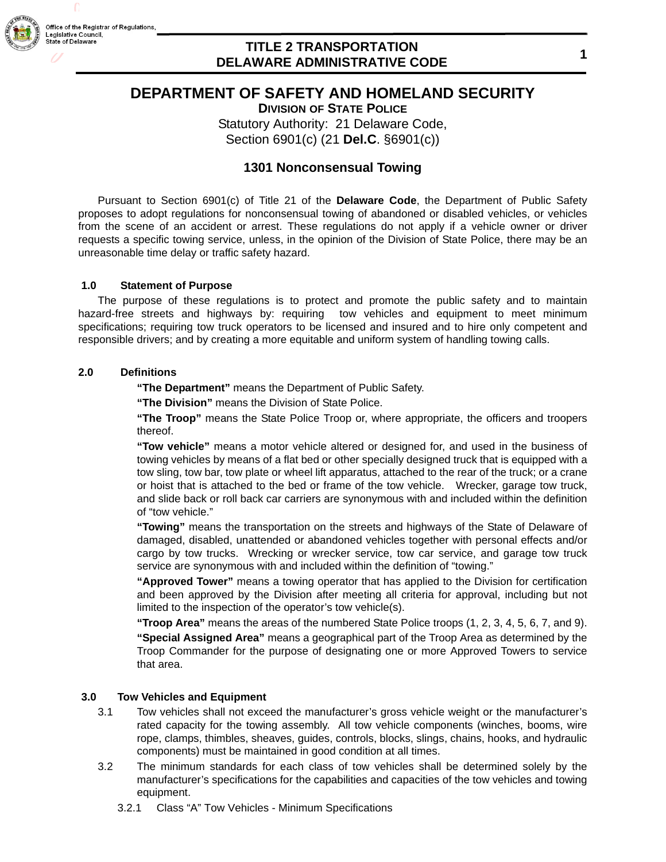

# **DEPARTMENT OF SAFETY AND HOMELAND SECURITY**

**DIVISION OF STATE POLICE**

Statutory Authority: 21 Delaware Code,

Section 6901(c) (21 **Del.C**. §6901(c))

## **1301 Nonconsensual Towing**

Pursuant to Section 6901(c) of Title 21 of the **Delaware Code**, the Department of Public Safety proposes to adopt regulations for nonconsensual towing of abandoned or disabled vehicles, or vehicles from the scene of an accident or arrest. These regulations do not apply if a vehicle owner or driver requests a specific towing service, unless, in the opinion of the Division of State Police, there may be an unreasonable time delay or traffic safety hazard.

#### **1.0 Statement of Purpose**

The purpose of these regulations is to protect and promote the public safety and to maintain hazard-free streets and highways by: requiring tow vehicles and equipment to meet minimum specifications; requiring tow truck operators to be licensed and insured and to hire only competent and responsible drivers; and by creating a more equitable and uniform system of handling towing calls.

#### **2.0 Definitions**

**"The Department"** means the Department of Public Safety.

**"The Division"** means the Division of State Police.

**"The Troop"** means the State Police Troop or, where appropriate, the officers and troopers thereof.

**"Tow vehicle"** means a motor vehicle altered or designed for, and used in the business of towing vehicles by means of a flat bed or other specially designed truck that is equipped with a tow sling, tow bar, tow plate or wheel lift apparatus, attached to the rear of the truck; or a crane or hoist that is attached to the bed or frame of the tow vehicle. Wrecker, garage tow truck, and slide back or roll back car carriers are synonymous with and included within the definition of "tow vehicle."

**"Towing"** means the transportation on the streets and highways of the State of Delaware of damaged, disabled, unattended or abandoned vehicles together with personal effects and/or cargo by tow trucks. Wrecking or wrecker service, tow car service, and garage tow truck service are synonymous with and included within the definition of "towing."

**"Approved Tower"** means a towing operator that has applied to the Division for certification and been approved by the Division after meeting all criteria for approval, including but not limited to the inspection of the operator's tow vehicle(s).

**"Troop Area"** means the areas of the numbered State Police troops (1, 2, 3, 4, 5, 6, 7, and 9). **"Special Assigned Area"** means a geographical part of the Troop Area as determined by the Troop Commander for the purpose of designating one or more Approved Towers to service that area.

## **3.0 Tow Vehicles and Equipment**

- 3.1 Tow vehicles shall not exceed the manufacturer's gross vehicle weight or the manufacturer's rated capacity for the towing assembly. All tow vehicle components (winches, booms, wire rope, clamps, thimbles, sheaves, guides, controls, blocks, slings, chains, hooks, and hydraulic components) must be maintained in good condition at all times.
- 3.2 The minimum standards for each class of tow vehicles shall be determined solely by the manufacturer's specifications for the capabilities and capacities of the tow vehicles and towing equipment.
	- 3.2.1 Class "A" Tow Vehicles Minimum Specifications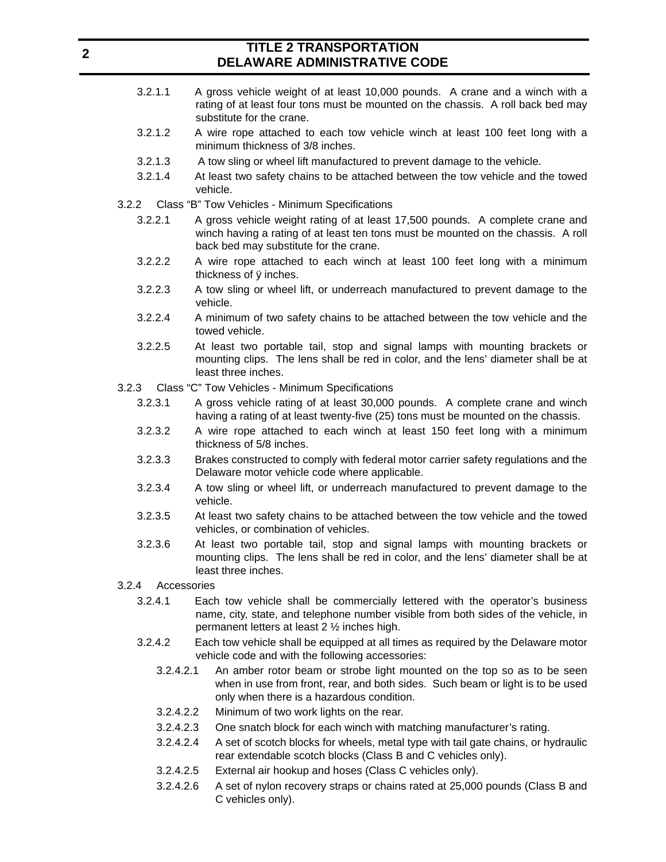- 3.2.1.1 A gross vehicle weight of at least 10,000 pounds. A crane and a winch with a rating of at least four tons must be mounted on the chassis. A roll back bed may substitute for the crane.
- 3.2.1.2 A wire rope attached to each tow vehicle winch at least 100 feet long with a minimum thickness of 3/8 inches.
- 3.2.1.3 A tow sling or wheel lift manufactured to prevent damage to the vehicle.
- 3.2.1.4 At least two safety chains to be attached between the tow vehicle and the towed vehicle.
- 3.2.2 Class "B" Tow Vehicles Minimum Specifications
	- 3.2.2.1 A gross vehicle weight rating of at least 17,500 pounds. A complete crane and winch having a rating of at least ten tons must be mounted on the chassis. A roll back bed may substitute for the crane.
	- 3.2.2.2 A wire rope attached to each winch at least 100 feet long with a minimum thickness of ÿ inches.
	- 3.2.2.3 A tow sling or wheel lift, or underreach manufactured to prevent damage to the vehicle.
	- 3.2.2.4 A minimum of two safety chains to be attached between the tow vehicle and the towed vehicle.
	- 3.2.2.5 At least two portable tail, stop and signal lamps with mounting brackets or mounting clips. The lens shall be red in color, and the lens' diameter shall be at least three inches.
- 3.2.3 Class "C" Tow Vehicles Minimum Specifications
	- 3.2.3.1 A gross vehicle rating of at least 30,000 pounds. A complete crane and winch having a rating of at least twenty-five (25) tons must be mounted on the chassis.
	- 3.2.3.2 A wire rope attached to each winch at least 150 feet long with a minimum thickness of 5/8 inches.
	- 3.2.3.3 Brakes constructed to comply with federal motor carrier safety regulations and the Delaware motor vehicle code where applicable.
	- 3.2.3.4 A tow sling or wheel lift, or underreach manufactured to prevent damage to the vehicle.
	- 3.2.3.5 At least two safety chains to be attached between the tow vehicle and the towed vehicles, or combination of vehicles.
	- 3.2.3.6 At least two portable tail, stop and signal lamps with mounting brackets or mounting clips. The lens shall be red in color, and the lens' diameter shall be at least three inches.
- 3.2.4 Accessories
	- 3.2.4.1 Each tow vehicle shall be commercially lettered with the operator's business name, city, state, and telephone number visible from both sides of the vehicle, in permanent letters at least 2 ½ inches high.
	- 3.2.4.2 Each tow vehicle shall be equipped at all times as required by the Delaware motor vehicle code and with the following accessories:
		- 3.2.4.2.1 An amber rotor beam or strobe light mounted on the top so as to be seen when in use from front, rear, and both sides. Such beam or light is to be used only when there is a hazardous condition.
		- 3.2.4.2.2 Minimum of two work lights on the rear.
		- 3.2.4.2.3 One snatch block for each winch with matching manufacturer's rating.
		- 3.2.4.2.4 A set of scotch blocks for wheels, metal type with tail gate chains, or hydraulic rear extendable scotch blocks (Class B and C vehicles only).
		- 3.2.4.2.5 External air hookup and hoses (Class C vehicles only).
		- 3.2.4.2.6 A set of nylon recovery straps or chains rated at 25,000 pounds (Class B and C vehicles only).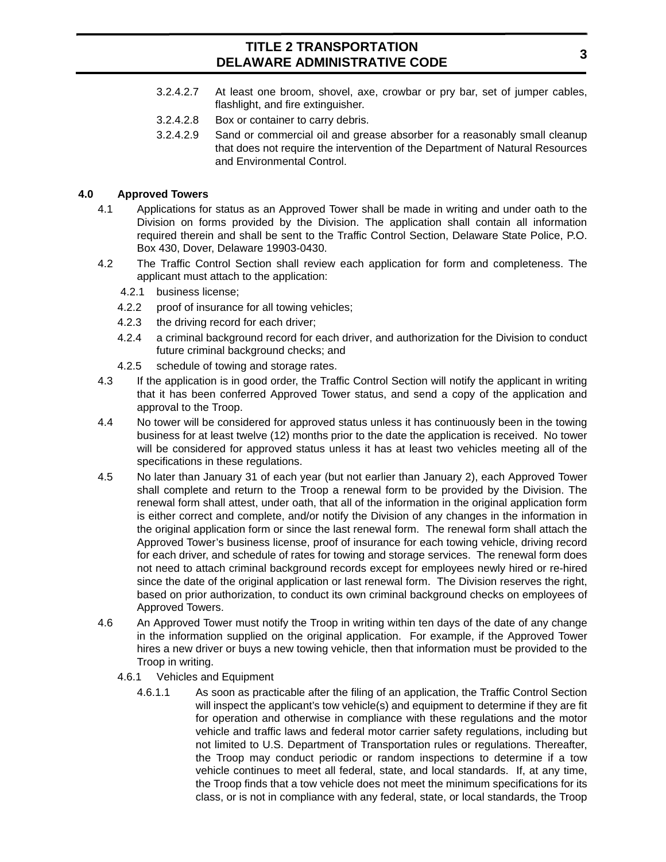- 3.2.4.2.7 At least one broom, shovel, axe, crowbar or pry bar, set of jumper cables, flashlight, and fire extinguisher.
- 3.2.4.2.8 Box or container to carry debris.
- 3.2.4.2.9 Sand or commercial oil and grease absorber for a reasonably small cleanup that does not require the intervention of the Department of Natural Resources and Environmental Control.

## **4.0 Approved Towers**

- 4.1 Applications for status as an Approved Tower shall be made in writing and under oath to the Division on forms provided by the Division. The application shall contain all information required therein and shall be sent to the Traffic Control Section, Delaware State Police, P.O. Box 430, Dover, Delaware 19903-0430.
- 4.2 The Traffic Control Section shall review each application for form and completeness. The applicant must attach to the application:
	- 4.2.1 business license;
	- 4.2.2 proof of insurance for all towing vehicles;
	- 4.2.3 the driving record for each driver;
	- 4.2.4 a criminal background record for each driver, and authorization for the Division to conduct future criminal background checks; and
	- 4.2.5 schedule of towing and storage rates.
- 4.3 If the application is in good order, the Traffic Control Section will notify the applicant in writing that it has been conferred Approved Tower status, and send a copy of the application and approval to the Troop.
- 4.4 No tower will be considered for approved status unless it has continuously been in the towing business for at least twelve (12) months prior to the date the application is received. No tower will be considered for approved status unless it has at least two vehicles meeting all of the specifications in these regulations.
- 4.5 No later than January 31 of each year (but not earlier than January 2), each Approved Tower shall complete and return to the Troop a renewal form to be provided by the Division. The renewal form shall attest, under oath, that all of the information in the original application form is either correct and complete, and/or notify the Division of any changes in the information in the original application form or since the last renewal form. The renewal form shall attach the Approved Tower's business license, proof of insurance for each towing vehicle, driving record for each driver, and schedule of rates for towing and storage services. The renewal form does not need to attach criminal background records except for employees newly hired or re-hired since the date of the original application or last renewal form. The Division reserves the right, based on prior authorization, to conduct its own criminal background checks on employees of Approved Towers.
- 4.6 An Approved Tower must notify the Troop in writing within ten days of the date of any change in the information supplied on the original application. For example, if the Approved Tower hires a new driver or buys a new towing vehicle, then that information must be provided to the Troop in writing.
	- 4.6.1 Vehicles and Equipment
		- 4.6.1.1 As soon as practicable after the filing of an application, the Traffic Control Section will inspect the applicant's tow vehicle(s) and equipment to determine if they are fit for operation and otherwise in compliance with these regulations and the motor vehicle and traffic laws and federal motor carrier safety regulations, including but not limited to U.S. Department of Transportation rules or regulations. Thereafter, the Troop may conduct periodic or random inspections to determine if a tow vehicle continues to meet all federal, state, and local standards. If, at any time, the Troop finds that a tow vehicle does not meet the minimum specifications for its class, or is not in compliance with any federal, state, or local standards, the Troop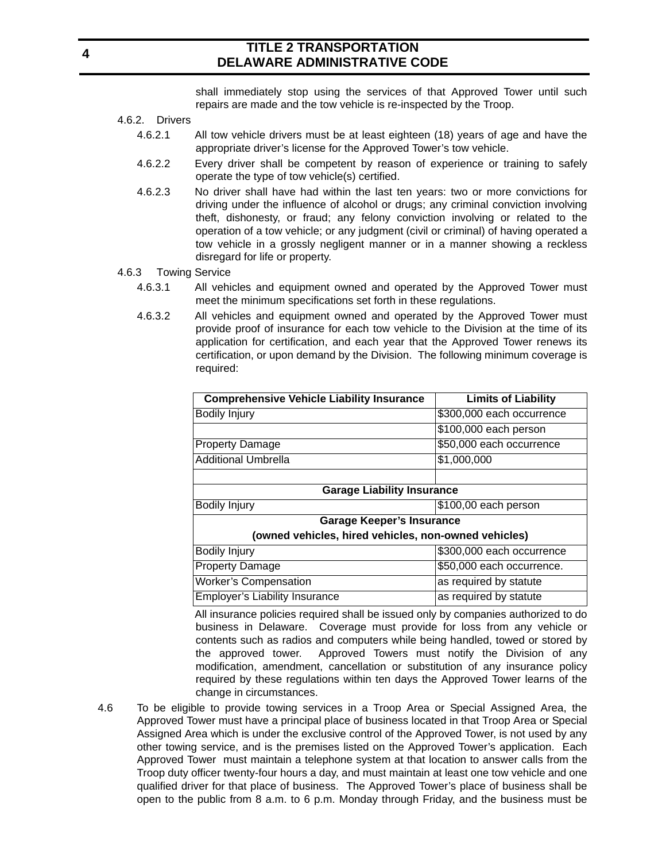shall immediately stop using the services of that Approved Tower until such repairs are made and the tow vehicle is re-inspected by the Troop.

- 4.6.2. Drivers
	- 4.6.2.1 All tow vehicle drivers must be at least eighteen (18) years of age and have the appropriate driver's license for the Approved Tower's tow vehicle.
	- 4.6.2.2 Every driver shall be competent by reason of experience or training to safely operate the type of tow vehicle(s) certified.
	- 4.6.2.3 No driver shall have had within the last ten years: two or more convictions for driving under the influence of alcohol or drugs; any criminal conviction involving theft, dishonesty, or fraud; any felony conviction involving or related to the operation of a tow vehicle; or any judgment (civil or criminal) of having operated a tow vehicle in a grossly negligent manner or in a manner showing a reckless disregard for life or property.
- 4.6.3 Towing Service
	- 4.6.3.1 All vehicles and equipment owned and operated by the Approved Tower must meet the minimum specifications set forth in these regulations.
	- 4.6.3.2 All vehicles and equipment owned and operated by the Approved Tower must provide proof of insurance for each tow vehicle to the Division at the time of its application for certification, and each year that the Approved Tower renews its certification, or upon demand by the Division. The following minimum coverage is required:

| <b>Comprehensive Vehicle Liability Insurance</b>     | <b>Limits of Liability</b> |
|------------------------------------------------------|----------------------------|
| Bodily Injury                                        | \$300,000 each occurrence  |
|                                                      | \$100,000 each person      |
| <b>Property Damage</b>                               | \$50,000 each occurrence   |
| <b>Additional Umbrella</b>                           | \$1,000,000                |
|                                                      |                            |
| <b>Garage Liability Insurance</b>                    |                            |
| <b>Bodily Injury</b>                                 | \$100,00 each person       |
| Garage Keeper's Insurance                            |                            |
| (owned vehicles, hired vehicles, non-owned vehicles) |                            |
| <b>Bodily Injury</b>                                 | \$300,000 each occurrence  |
| <b>Property Damage</b>                               | \$50,000 each occurrence.  |
| <b>Worker's Compensation</b>                         | as required by statute     |
| <b>Employer's Liability Insurance</b>                | as required by statute     |

All insurance policies required shall be issued only by companies authorized to do business in Delaware. Coverage must provide for loss from any vehicle or contents such as radios and computers while being handled, towed or stored by the approved tower. Approved Towers must notify the Division of any modification, amendment, cancellation or substitution of any insurance policy required by these regulations within ten days the Approved Tower learns of the change in circumstances.

4.6 To be eligible to provide towing services in a Troop Area or Special Assigned Area, the Approved Tower must have a principal place of business located in that Troop Area or Special Assigned Area which is under the exclusive control of the Approved Tower, is not used by any other towing service, and is the premises listed on the Approved Tower's application. Each Approved Tower must maintain a telephone system at that location to answer calls from the Troop duty officer twenty-four hours a day, and must maintain at least one tow vehicle and one qualified driver for that place of business. The Approved Tower's place of business shall be open to the public from 8 a.m. to 6 p.m. Monday through Friday, and the business must be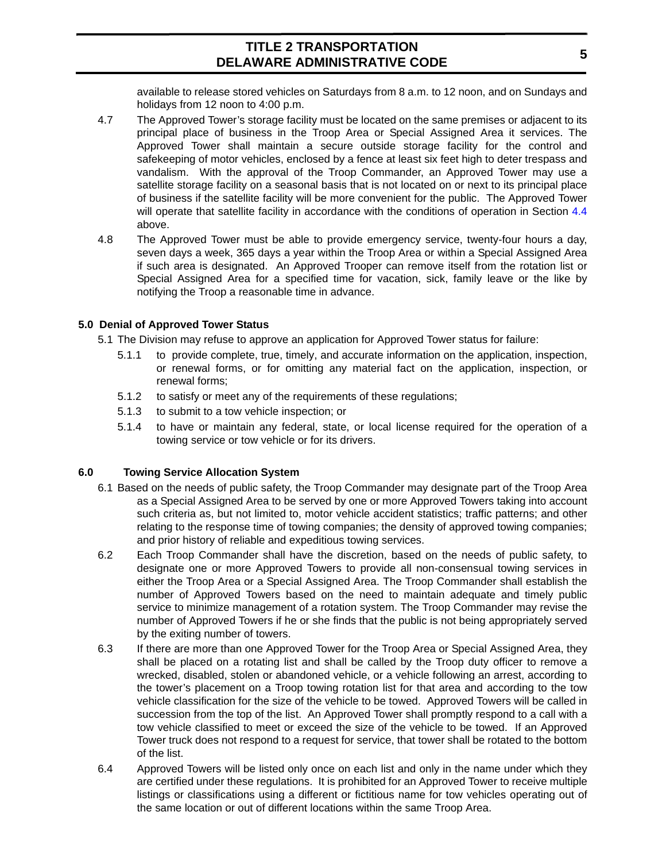available to release stored vehicles on Saturdays from 8 a.m. to 12 noon, and on Sundays and holidays from 12 noon to 4:00 p.m.

- 4.7 The Approved Tower's storage facility must be located on the same premises or adjacent to its principal place of business in the Troop Area or Special Assigned Area it services. The Approved Tower shall maintain a secure outside storage facility for the control and safekeeping of motor vehicles, enclosed by a fence at least six feet high to deter trespass and vandalism. With the approval of the Troop Commander, an Approved Tower may use a satellite storage facility on a seasonal basis that is not located on or next to its principal place of business if the satellite facility will be more convenient for the public. The Approved Tower will operate that satellite facility in accordance with the conditions of operation in Section 4.4 above.
- 4.8 The Approved Tower must be able to provide emergency service, twenty-four hours a day, seven days a week, 365 days a year within the Troop Area or within a Special Assigned Area if such area is designated. An Approved Trooper can remove itself from the rotation list or Special Assigned Area for a specified time for vacation, sick, family leave or the like by notifying the Troop a reasonable time in advance.

## **5.0 Denial of Approved Tower Status**

- 5.1 The Division may refuse to approve an application for Approved Tower status for failure:
	- 5.1.1 to provide complete, true, timely, and accurate information on the application, inspection, or renewal forms, or for omitting any material fact on the application, inspection, or renewal forms;
	- 5.1.2 to satisfy or meet any of the requirements of these regulations;
	- 5.1.3 to submit to a tow vehicle inspection; or
	- 5.1.4 to have or maintain any federal, state, or local license required for the operation of a towing service or tow vehicle or for its drivers.

## **6.0 Towing Service Allocation System**

- 6.1 Based on the needs of public safety, the Troop Commander may designate part of the Troop Area as a Special Assigned Area to be served by one or more Approved Towers taking into account such criteria as, but not limited to, motor vehicle accident statistics; traffic patterns; and other relating to the response time of towing companies; the density of approved towing companies; and prior history of reliable and expeditious towing services.
- 6.2 Each Troop Commander shall have the discretion, based on the needs of public safety, to designate one or more Approved Towers to provide all non-consensual towing services in either the Troop Area or a Special Assigned Area. The Troop Commander shall establish the number of Approved Towers based on the need to maintain adequate and timely public service to minimize management of a rotation system. The Troop Commander may revise the number of Approved Towers if he or she finds that the public is not being appropriately served by the exiting number of towers.
- 6.3 If there are more than one Approved Tower for the Troop Area or Special Assigned Area, they shall be placed on a rotating list and shall be called by the Troop duty officer to remove a wrecked, disabled, stolen or abandoned vehicle, or a vehicle following an arrest, according to the tower's placement on a Troop towing rotation list for that area and according to the tow vehicle classification for the size of the vehicle to be towed. Approved Towers will be called in succession from the top of the list. An Approved Tower shall promptly respond to a call with a tow vehicle classified to meet or exceed the size of the vehicle to be towed. If an Approved Tower truck does not respond to a request for service, that tower shall be rotated to the bottom of the list.
- 6.4 Approved Towers will be listed only once on each list and only in the name under which they are certified under these regulations. It is prohibited for an Approved Tower to receive multiple listings or classifications using a different or fictitious name for tow vehicles operating out of the same location or out of different locations within the same Troop Area.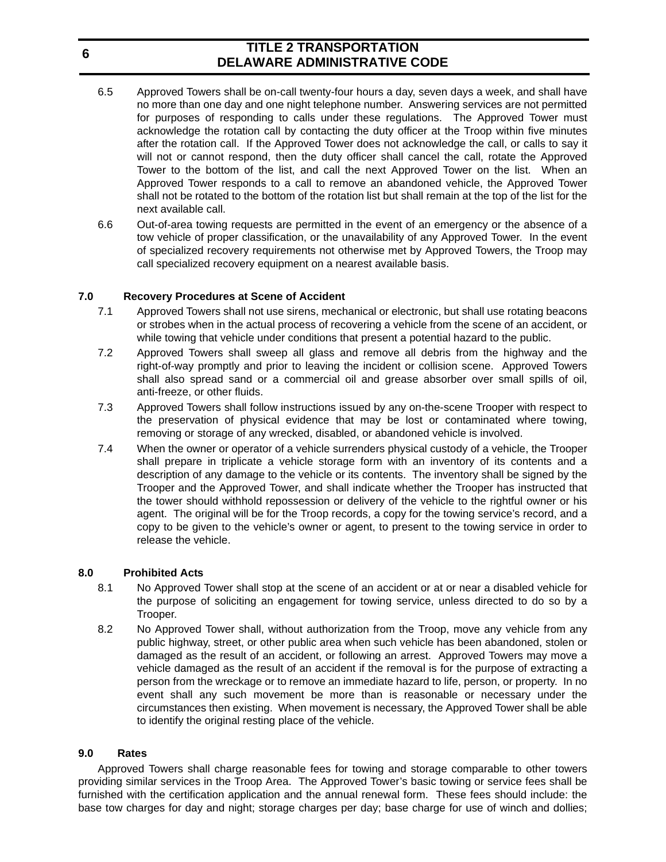- 6.5 Approved Towers shall be on-call twenty-four hours a day, seven days a week, and shall have no more than one day and one night telephone number. Answering services are not permitted for purposes of responding to calls under these regulations. The Approved Tower must acknowledge the rotation call by contacting the duty officer at the Troop within five minutes after the rotation call. If the Approved Tower does not acknowledge the call, or calls to say it will not or cannot respond, then the duty officer shall cancel the call, rotate the Approved Tower to the bottom of the list, and call the next Approved Tower on the list. When an Approved Tower responds to a call to remove an abandoned vehicle, the Approved Tower shall not be rotated to the bottom of the rotation list but shall remain at the top of the list for the next available call.
- 6.6 Out-of-area towing requests are permitted in the event of an emergency or the absence of a tow vehicle of proper classification, or the unavailability of any Approved Tower. In the event of specialized recovery requirements not otherwise met by Approved Towers, the Troop may call specialized recovery equipment on a nearest available basis.

## **7.0 Recovery Procedures at Scene of Accident**

- 7.1 Approved Towers shall not use sirens, mechanical or electronic, but shall use rotating beacons or strobes when in the actual process of recovering a vehicle from the scene of an accident, or while towing that vehicle under conditions that present a potential hazard to the public.
- 7.2 Approved Towers shall sweep all glass and remove all debris from the highway and the right-of-way promptly and prior to leaving the incident or collision scene. Approved Towers shall also spread sand or a commercial oil and grease absorber over small spills of oil, anti-freeze, or other fluids.
- 7.3 Approved Towers shall follow instructions issued by any on-the-scene Trooper with respect to the preservation of physical evidence that may be lost or contaminated where towing, removing or storage of any wrecked, disabled, or abandoned vehicle is involved.
- 7.4 When the owner or operator of a vehicle surrenders physical custody of a vehicle, the Trooper shall prepare in triplicate a vehicle storage form with an inventory of its contents and a description of any damage to the vehicle or its contents. The inventory shall be signed by the Trooper and the Approved Tower, and shall indicate whether the Trooper has instructed that the tower should withhold repossession or delivery of the vehicle to the rightful owner or his agent. The original will be for the Troop records, a copy for the towing service's record, and a copy to be given to the vehicle's owner or agent, to present to the towing service in order to release the vehicle.

#### **8.0 Prohibited Acts**

- 8.1 No Approved Tower shall stop at the scene of an accident or at or near a disabled vehicle for the purpose of soliciting an engagement for towing service, unless directed to do so by a Trooper.
- 8.2 No Approved Tower shall, without authorization from the Troop, move any vehicle from any public highway, street, or other public area when such vehicle has been abandoned, stolen or damaged as the result of an accident, or following an arrest. Approved Towers may move a vehicle damaged as the result of an accident if the removal is for the purpose of extracting a person from the wreckage or to remove an immediate hazard to life, person, or property. In no event shall any such movement be more than is reasonable or necessary under the circumstances then existing. When movement is necessary, the Approved Tower shall be able to identify the original resting place of the vehicle.

#### **9.0 Rates**

Approved Towers shall charge reasonable fees for towing and storage comparable to other towers providing similar services in the Troop Area. The Approved Tower's basic towing or service fees shall be furnished with the certification application and the annual renewal form. These fees should include: the base tow charges for day and night; storage charges per day; base charge for use of winch and dollies;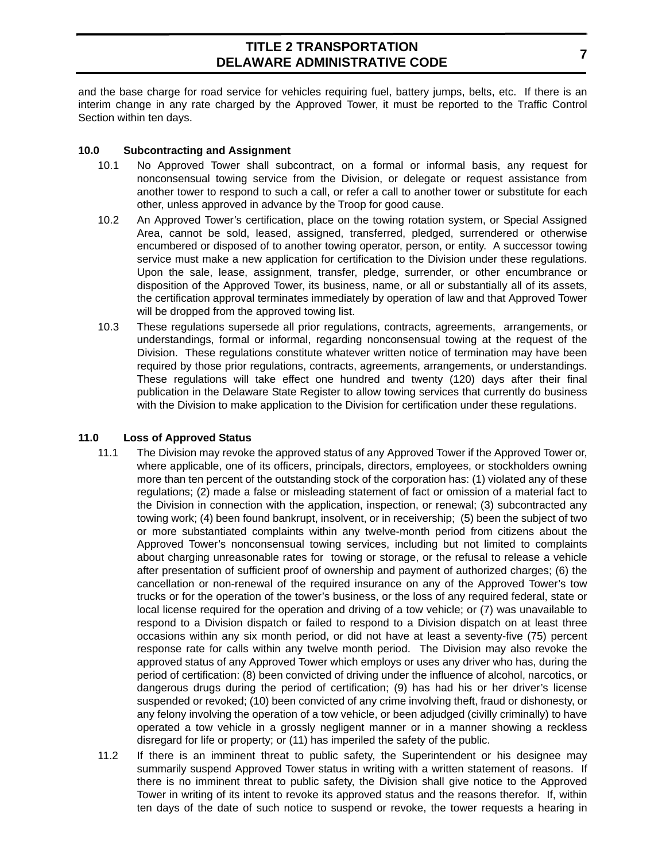and the base charge for road service for vehicles requiring fuel, battery jumps, belts, etc. If there is an interim change in any rate charged by the Approved Tower, it must be reported to the Traffic Control Section within ten days.

#### **10.0 Subcontracting and Assignment**

- 10.1 No Approved Tower shall subcontract, on a formal or informal basis, any request for nonconsensual towing service from the Division, or delegate or request assistance from another tower to respond to such a call, or refer a call to another tower or substitute for each other, unless approved in advance by the Troop for good cause.
- 10.2 An Approved Tower's certification, place on the towing rotation system, or Special Assigned Area, cannot be sold, leased, assigned, transferred, pledged, surrendered or otherwise encumbered or disposed of to another towing operator, person, or entity. A successor towing service must make a new application for certification to the Division under these regulations. Upon the sale, lease, assignment, transfer, pledge, surrender, or other encumbrance or disposition of the Approved Tower, its business, name, or all or substantially all of its assets, the certification approval terminates immediately by operation of law and that Approved Tower will be dropped from the approved towing list.
- 10.3 These regulations supersede all prior regulations, contracts, agreements, arrangements, or understandings, formal or informal, regarding nonconsensual towing at the request of the Division. These regulations constitute whatever written notice of termination may have been required by those prior regulations, contracts, agreements, arrangements, or understandings. These regulations will take effect one hundred and twenty (120) days after their final publication in the Delaware State Register to allow towing services that currently do business with the Division to make application to the Division for certification under these regulations.

## **11.0 Loss of Approved Status**

- 11.1 The Division may revoke the approved status of any Approved Tower if the Approved Tower or, where applicable, one of its officers, principals, directors, employees, or stockholders owning more than ten percent of the outstanding stock of the corporation has: (1) violated any of these regulations; (2) made a false or misleading statement of fact or omission of a material fact to the Division in connection with the application, inspection, or renewal; (3) subcontracted any towing work; (4) been found bankrupt, insolvent, or in receivership; (5) been the subject of two or more substantiated complaints within any twelve-month period from citizens about the Approved Tower's nonconsensual towing services, including but not limited to complaints about charging unreasonable rates for towing or storage, or the refusal to release a vehicle after presentation of sufficient proof of ownership and payment of authorized charges; (6) the cancellation or non-renewal of the required insurance on any of the Approved Tower's tow trucks or for the operation of the tower's business, or the loss of any required federal, state or local license required for the operation and driving of a tow vehicle; or (7) was unavailable to respond to a Division dispatch or failed to respond to a Division dispatch on at least three occasions within any six month period, or did not have at least a seventy-five (75) percent response rate for calls within any twelve month period. The Division may also revoke the approved status of any Approved Tower which employs or uses any driver who has, during the period of certification: (8) been convicted of driving under the influence of alcohol, narcotics, or dangerous drugs during the period of certification; (9) has had his or her driver's license suspended or revoked; (10) been convicted of any crime involving theft, fraud or dishonesty, or any felony involving the operation of a tow vehicle, or been adjudged (civilly criminally) to have operated a tow vehicle in a grossly negligent manner or in a manner showing a reckless disregard for life or property; or (11) has imperiled the safety of the public.
- 11.2 If there is an imminent threat to public safety, the Superintendent or his designee may summarily suspend Approved Tower status in writing with a written statement of reasons. If there is no imminent threat to public safety, the Division shall give notice to the Approved Tower in writing of its intent to revoke its approved status and the reasons therefor. If, within ten days of the date of such notice to suspend or revoke, the tower requests a hearing in